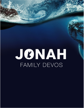# JENAH FAMILY DEVOS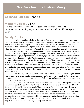#### **Scripture Passage:** Jonah 4

#### **Memory Verse:** Micah 6:8

"He has shown you, O man, what is good; And what does the Lord require of you but to do justly, to love mercy, and to walk humbly with your God?"

#### **For My Family:**

He knew it, he just knew it. Jonah knew that God was so generous, loving, kind, and merciful, that as soon as he set foot in Nineveh and preached the message that God wanted Him to preach, God would spare the lives of the Ninevites. This is exactly why Jonah tried to run away to Tarshish in the first place. Well lo and behold, the Lord *was* merciful to the Ninevites, and now Jonah was upset. Actually, he was more than just upset. He was angry.

The Lord did not reprimand Jonah (again). Instead He asked Jonah a straightforward question: "Is it right for you to be angry?" Obviously, the answer here was no, Jonah should not have been angry, but Jonah wanted to be angry with God, so he stormed off and went and sat on a hill overlooking the city. The Lord grew up a plant to shade Jonah from the heat of the sun, and Jonah was grateful for the plant that the Lord had made him. The Lord, however, was still teaching Jonah a lesson. God also made a worm come and eat away the roots of the plant so that it withered and died. The next day, the sun beat down on Jonah and the wind blew in his face, so Jonah was even more upset and angry about the plant that had died than he was about Nineveh. The Lord asked him the same question, "Is it right for you to be angry about the plant?"

God was teaching a lesson to Jonah about Mercy. When the plant was destroyed, Jonah was so upset he wished that he was dead. God was trying to show Jonah that he should have been more concerned about the eternal fate of a hundred and twenty thousand people, then the present fate of a vine.

God made the plant, not Jonah. That means that God could do with the plant whatever He wanted. It didn't actually matter how Jonah felt about the plant; it only mattered how God did. God made the Ninevites, not Jonah. That means that God could do with the Ninevites whatever He wanted. It didn't actually matter how Jonah felt about the Ninevites, it only mattered how God did. God saw that there were 120,000 Ninevites who "didn't know their right hand from their left." God looked at the Ninevites like children who needed to be corrected and instructed, not the bloodthirsty murderers and evildoers that Jonah saw. God loved the Ninevites, and God loves all people, everywhere. He wanted Jonah to see people the way He saw them, and to love mercy the way that He does.